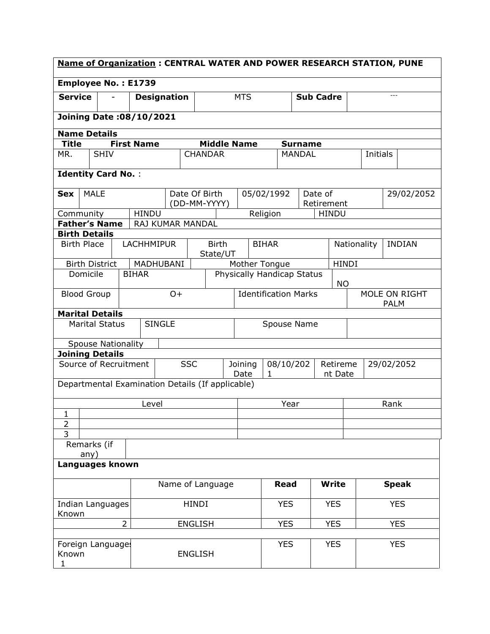| <b>Name of Organization: CENTRAL WATER AND POWER RESEARCH STATION, PUNE</b> |                                  |                   |                                                  |                |                          |                                   |                             |                                                     |              |                |                            |              |                              |            |               |
|-----------------------------------------------------------------------------|----------------------------------|-------------------|--------------------------------------------------|----------------|--------------------------|-----------------------------------|-----------------------------|-----------------------------------------------------|--------------|----------------|----------------------------|--------------|------------------------------|------------|---------------|
|                                                                             | <b>Employee No.: E1739</b>       |                   |                                                  |                |                          |                                   |                             |                                                     |              |                |                            |              |                              |            |               |
| <b>Service</b>                                                              |                                  |                   | <b>Designation</b>                               |                |                          | <b>MTS</b>                        |                             |                                                     |              |                | <b>Sub Cadre</b>           |              |                              | $\cdots$   |               |
| <b>Joining Date: 08/10/2021</b>                                             |                                  |                   |                                                  |                |                          |                                   |                             |                                                     |              |                |                            |              |                              |            |               |
|                                                                             | <b>Name Details</b>              |                   |                                                  |                |                          |                                   |                             |                                                     |              |                |                            |              |                              |            |               |
| <b>Title</b>                                                                |                                  | <b>First Name</b> |                                                  |                | <b>Middle Name</b>       |                                   |                             |                                                     |              | <b>Surname</b> |                            |              |                              |            |               |
| MR.                                                                         | <b>SHIV</b>                      |                   |                                                  |                | <b>CHANDAR</b>           |                                   |                             |                                                     |              | <b>MANDAL</b>  |                            |              | <b>Initials</b>              |            |               |
|                                                                             | <b>Identity Card No.:</b>        |                   |                                                  |                |                          |                                   |                             |                                                     |              |                |                            |              |                              |            |               |
| <b>Sex</b>                                                                  | <b>MALE</b>                      |                   |                                                  | Date Of Birth  |                          |                                   |                             | 05/02/1992                                          |              |                | Date of                    |              |                              |            | 29/02/2052    |
| Community                                                                   |                                  | <b>HINDU</b>      |                                                  |                | (DD-MM-YYYY)             |                                   |                             | Religion                                            |              |                | Retirement<br><b>HINDU</b> |              |                              |            |               |
|                                                                             | <b>Father's Name</b>             |                   | RAJ KUMAR MANDAL                                 |                |                          |                                   |                             |                                                     |              |                |                            |              |                              |            |               |
| <b>Birth Details</b>                                                        |                                  |                   |                                                  |                |                          |                                   |                             |                                                     |              |                |                            |              |                              |            |               |
| <b>Birth Place</b>                                                          |                                  |                   | <b>LACHHMIPUR</b>                                |                | <b>Birth</b><br>State/UT |                                   |                             | <b>BIHAR</b>                                        |              |                |                            | Nationality  |                              |            | <b>INDIAN</b> |
|                                                                             | <b>Birth District</b>            |                   | MADHUBANI                                        |                |                          |                                   |                             | Mother Tongue                                       |              |                |                            | <b>HINDI</b> |                              |            |               |
|                                                                             | Domicile<br><b>BIHAR</b>         |                   |                                                  |                |                          | Physically Handicap Status<br>NO. |                             |                                                     |              |                |                            |              |                              |            |               |
| <b>Blood Group</b>                                                          |                                  |                   | $O+$                                             |                |                          |                                   | <b>Identification Marks</b> |                                                     |              |                |                            |              | MOLE ON RIGHT<br><b>PALM</b> |            |               |
|                                                                             | <b>Marital Details</b>           |                   |                                                  |                |                          |                                   |                             |                                                     |              |                |                            |              |                              |            |               |
| <b>SINGLE</b><br><b>Marital Status</b>                                      |                                  |                   |                                                  |                | Spouse Name              |                                   |                             |                                                     |              |                |                            |              |                              |            |               |
|                                                                             | <b>Spouse Nationality</b>        |                   |                                                  |                |                          |                                   |                             |                                                     |              |                |                            |              |                              |            |               |
|                                                                             | <b>Joining Details</b>           |                   |                                                  |                |                          |                                   |                             |                                                     |              |                |                            |              |                              |            |               |
|                                                                             | Source of Recruitment            |                   |                                                  | <b>SSC</b>     |                          | Joining<br>Date                   |                             | 08/10/202<br>Retireme<br>29/02/2052<br>1<br>nt Date |              |                |                            |              |                              |            |               |
|                                                                             |                                  |                   | Departmental Examination Details (If applicable) |                |                          |                                   |                             |                                                     |              |                |                            |              |                              |            |               |
|                                                                             |                                  |                   | Level                                            |                |                          |                                   | Year                        |                                                     |              |                |                            | Rank         |                              |            |               |
| $\mathbf{1}$                                                                |                                  |                   |                                                  |                |                          |                                   |                             |                                                     |              |                |                            |              |                              |            |               |
| $\overline{2}$<br>3                                                         |                                  |                   |                                                  |                |                          |                                   |                             |                                                     |              |                |                            |              |                              |            |               |
|                                                                             | Remarks (if                      |                   |                                                  |                |                          |                                   |                             |                                                     |              |                |                            |              |                              |            |               |
|                                                                             | any)                             |                   |                                                  |                |                          |                                   |                             |                                                     |              |                |                            |              |                              |            |               |
| Languages known                                                             |                                  |                   |                                                  |                |                          |                                   |                             |                                                     |              |                |                            |              |                              |            |               |
|                                                                             | Name of Language                 |                   |                                                  |                |                          |                                   | <b>Read</b>                 |                                                     | <b>Write</b> |                |                            | <b>Speak</b> |                              |            |               |
| Known                                                                       | <b>HINDI</b><br>Indian Languages |                   |                                                  |                |                          |                                   | <b>YES</b>                  |                                                     | <b>YES</b>   |                |                            | <b>YES</b>   |                              |            |               |
|                                                                             |                                  | $\overline{2}$    |                                                  | <b>ENGLISH</b> |                          |                                   |                             |                                                     | <b>YES</b>   |                | <b>YES</b>                 |              |                              | <b>YES</b> |               |
|                                                                             |                                  |                   |                                                  |                |                          |                                   |                             |                                                     |              |                |                            |              |                              |            |               |
| Foreign Languages<br>Known<br><b>ENGLISH</b><br>1                           |                                  |                   |                                                  |                |                          | <b>YES</b>                        |                             | <b>YES</b>                                          |              |                | <b>YES</b>                 |              |                              |            |               |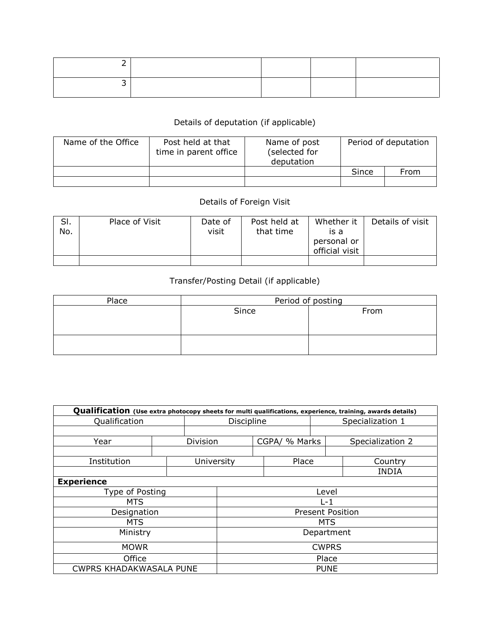## Details of deputation (if applicable)

| Name of the Office | Post held at that<br>time in parent office | Name of post<br>(selected for<br>deputation | Period of deputation |      |  |
|--------------------|--------------------------------------------|---------------------------------------------|----------------------|------|--|
|                    |                                            |                                             | Since                | From |  |
|                    |                                            |                                             |                      |      |  |

## Details of Foreign Visit

| SI.<br>No. | Place of Visit | Date of<br>visit | Post held at<br>that time | Whether it<br>is a<br>personal or<br>official visit | Details of visit |
|------------|----------------|------------------|---------------------------|-----------------------------------------------------|------------------|
|            |                |                  |                           |                                                     |                  |

## Transfer/Posting Detail (if applicable)

| Place | Period of posting |      |  |  |  |  |  |
|-------|-------------------|------|--|--|--|--|--|
|       | Since             | From |  |  |  |  |  |
|       |                   |      |  |  |  |  |  |
|       |                   |      |  |  |  |  |  |
|       |                   |      |  |  |  |  |  |
|       |                   |      |  |  |  |  |  |

|                                | Qualification (Use extra photocopy sheets for multi qualifications, experience, training, awards details) |            |                         |  |                  |  |                  |  |  |  |  |
|--------------------------------|-----------------------------------------------------------------------------------------------------------|------------|-------------------------|--|------------------|--|------------------|--|--|--|--|
| Qualification                  | Discipline                                                                                                |            |                         |  | Specialization 1 |  |                  |  |  |  |  |
|                                |                                                                                                           |            |                         |  |                  |  |                  |  |  |  |  |
| Year                           |                                                                                                           | Division   |                         |  | CGPA/ % Marks    |  | Specialization 2 |  |  |  |  |
|                                |                                                                                                           |            |                         |  |                  |  |                  |  |  |  |  |
| Institution                    |                                                                                                           | University |                         |  | Place            |  | Country          |  |  |  |  |
|                                |                                                                                                           |            |                         |  |                  |  | <b>INDIA</b>     |  |  |  |  |
| <b>Experience</b>              |                                                                                                           |            |                         |  |                  |  |                  |  |  |  |  |
| Type of Posting                |                                                                                                           |            | Level                   |  |                  |  |                  |  |  |  |  |
| <b>MTS</b>                     |                                                                                                           |            | $L - 1$                 |  |                  |  |                  |  |  |  |  |
| Designation                    |                                                                                                           |            | <b>Present Position</b> |  |                  |  |                  |  |  |  |  |
| <b>MTS</b>                     |                                                                                                           |            | MTS                     |  |                  |  |                  |  |  |  |  |
| Ministry                       | Department                                                                                                |            |                         |  |                  |  |                  |  |  |  |  |
| <b>MOWR</b>                    | <b>CWPRS</b>                                                                                              |            |                         |  |                  |  |                  |  |  |  |  |
| Office                         | Place                                                                                                     |            |                         |  |                  |  |                  |  |  |  |  |
| <b>CWPRS KHADAKWASALA PUNE</b> | <b>PUNE</b>                                                                                               |            |                         |  |                  |  |                  |  |  |  |  |